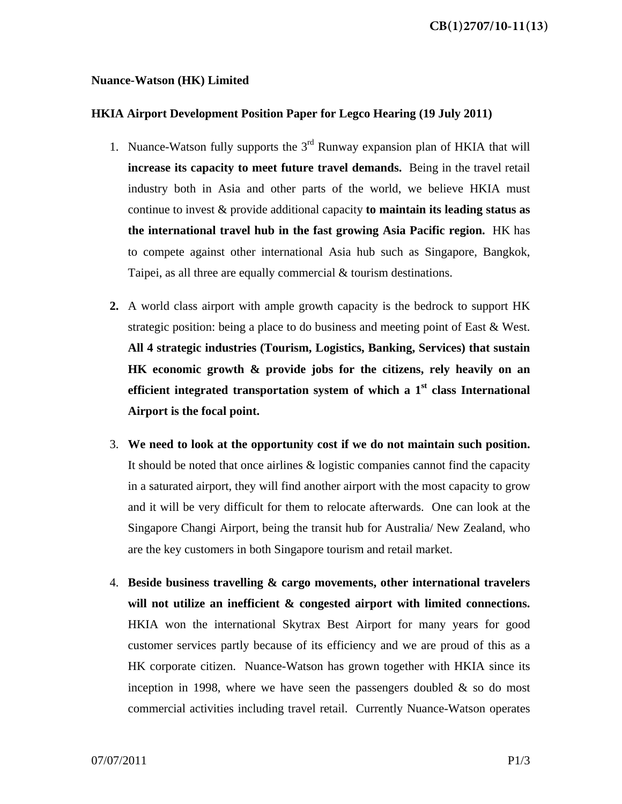## **Nuance-Watson (HK) Limited**

## **HKIA Airport Development Position Paper for Legco Hearing (19 July 2011)**

- 1. Nuance-Watson fully supports the  $3<sup>rd</sup>$  Runway expansion plan of HKIA that will **increase its capacity to meet future travel demands.** Being in the travel retail industry both in Asia and other parts of the world, we believe HKIA must continue to invest & provide additional capacity **to maintain its leading status as the international travel hub in the fast growing Asia Pacific region.** HK has to compete against other international Asia hub such as Singapore, Bangkok, Taipei, as all three are equally commercial & tourism destinations.
- **2.** A world class airport with ample growth capacity is the bedrock to support HK strategic position: being a place to do business and meeting point of East & West. **All 4 strategic industries (Tourism, Logistics, Banking, Services) that sustain HK economic growth & provide jobs for the citizens, rely heavily on an efficient integrated transportation system of which a 1st class International Airport is the focal point.**
- 3. **We need to look at the opportunity cost if we do not maintain such position.** It should be noted that once airlines & logistic companies cannot find the capacity in a saturated airport, they will find another airport with the most capacity to grow and it will be very difficult for them to relocate afterwards. One can look at the Singapore Changi Airport, being the transit hub for Australia/ New Zealand, who are the key customers in both Singapore tourism and retail market.
- 4. **Beside business travelling & cargo movements, other international travelers will not utilize an inefficient & congested airport with limited connections.** HKIA won the international Skytrax Best Airport for many years for good customer services partly because of its efficiency and we are proud of this as a HK corporate citizen. Nuance-Watson has grown together with HKIA since its inception in 1998, where we have seen the passengers doubled  $\&$  so do most commercial activities including travel retail. Currently Nuance-Watson operates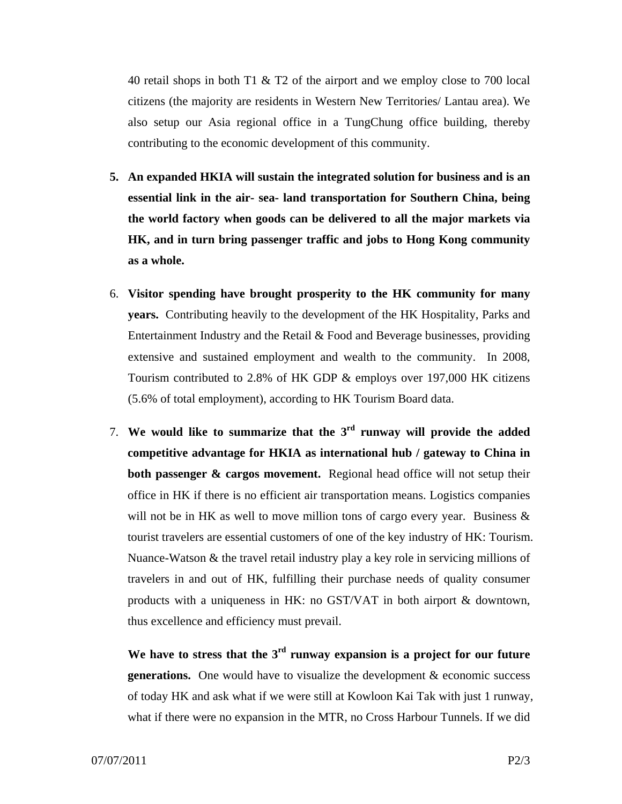40 retail shops in both T1 & T2 of the airport and we employ close to 700 local citizens (the majority are residents in Western New Territories/ Lantau area). We also setup our Asia regional office in a TungChung office building, thereby contributing to the economic development of this community.

- **5. An expanded HKIA will sustain the integrated solution for business and is an essential link in the air- sea- land transportation for Southern China, being the world factory when goods can be delivered to all the major markets via HK, and in turn bring passenger traffic and jobs to Hong Kong community as a whole.**
- 6. **Visitor spending have brought prosperity to the HK community for many years.** Contributing heavily to the development of the HK Hospitality, Parks and Entertainment Industry and the Retail & Food and Beverage businesses, providing extensive and sustained employment and wealth to the community. In 2008, Tourism contributed to 2.8% of HK GDP & employs over 197,000 HK citizens (5.6% of total employment), according to HK Tourism Board data.
- 7. **We would like to summarize that the 3rd runway will provide the added competitive advantage for HKIA as international hub / gateway to China in both passenger & cargos movement.** Regional head office will not setup their office in HK if there is no efficient air transportation means. Logistics companies will not be in HK as well to move million tons of cargo every year. Business  $\&$ tourist travelers are essential customers of one of the key industry of HK: Tourism. Nuance-Watson & the travel retail industry play a key role in servicing millions of travelers in and out of HK, fulfilling their purchase needs of quality consumer products with a uniqueness in HK: no GST/VAT in both airport & downtown, thus excellence and efficiency must prevail.

We have to stress that the 3<sup>rd</sup> runway expansion is a project for our future **generations.** One would have to visualize the development & economic success of today HK and ask what if we were still at Kowloon Kai Tak with just 1 runway, what if there were no expansion in the MTR, no Cross Harbour Tunnels. If we did